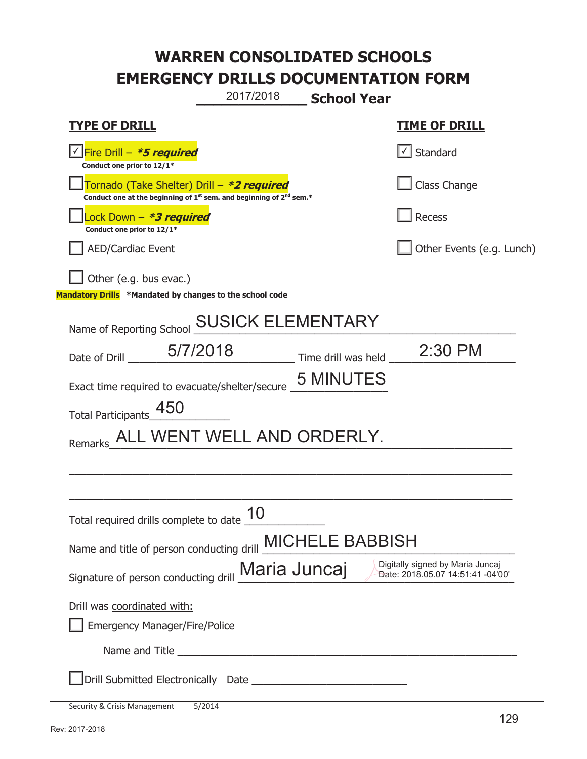**\_\_\_\_\_\_\_\_\_\_\_\_\_ School Year**  2017/2018

| <b>TYPE OF DRILL</b>                                                                                                                      | <b>TIME OF DRILL</b>                                                  |
|-------------------------------------------------------------------------------------------------------------------------------------------|-----------------------------------------------------------------------|
| √Fire Drill – <i>*<b>5 required</b></i><br>Conduct one prior to 12/1*                                                                     | $\cup$ Standard                                                       |
| Tornado (Take Shelter) Drill - *2 required<br>Conduct one at the beginning of 1 <sup>st</sup> sem. and beginning of 2 <sup>nd</sup> sem.* | Class Change                                                          |
| Lock Down - *3 required<br>Conduct one prior to 12/1*                                                                                     | Recess                                                                |
| AED/Cardiac Event                                                                                                                         | Other Events (e.g. Lunch)                                             |
| Other (e.g. bus evac.)                                                                                                                    |                                                                       |
| Mandatory Drills *Mandated by changes to the school code                                                                                  |                                                                       |
| Name of Reporting School <b>SUSICK ELEMENTARY</b>                                                                                         |                                                                       |
| Date of Drill 5/7/2018                                                                                                                    | $\frac{1}{2}$ Time drill was held $\frac{1}{2}$ 2:30 PM               |
| Exact time required to evacuate/shelter/secure _5 MINUTES                                                                                 |                                                                       |
| Total Participants_                                                                                                                       |                                                                       |
| Remarks_ALL WENT WELL AND ORDERLY.                                                                                                        |                                                                       |
|                                                                                                                                           |                                                                       |
|                                                                                                                                           |                                                                       |
| Total required drills complete to date                                                                                                    |                                                                       |
| Name and title of person conducting drill <b>MICHELE BABBISH</b>                                                                          |                                                                       |
| Signature of person conducting drill <b>Maria Juncaj</b>                                                                                  | Digitally signed by Maria Juncaj<br>Date: 2018.05.07 14:51:41 -04'00' |
| Drill was coordinated with:                                                                                                               |                                                                       |
| <b>Emergency Manager/Fire/Police</b>                                                                                                      |                                                                       |
|                                                                                                                                           |                                                                       |
|                                                                                                                                           |                                                                       |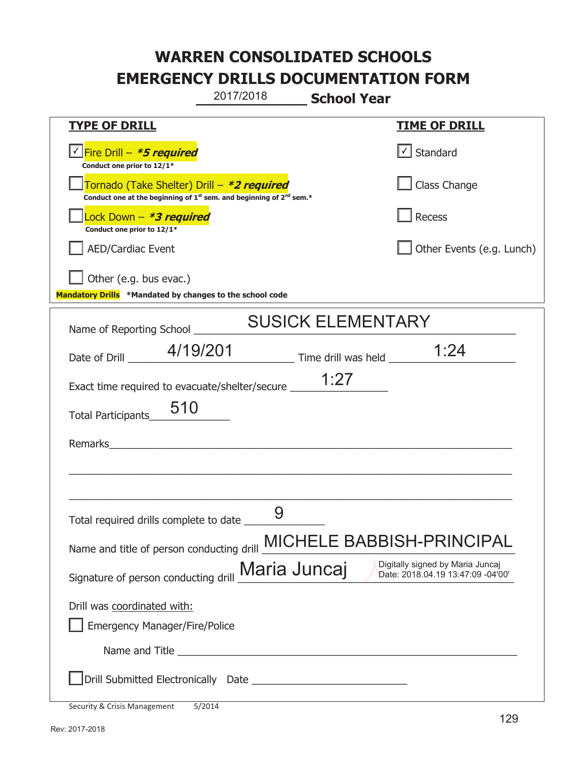|                                                                                                                                           | 2017/2018    | <b>School Year</b>       |                                                                       |
|-------------------------------------------------------------------------------------------------------------------------------------------|--------------|--------------------------|-----------------------------------------------------------------------|
| <b>TYPE OF DRILL</b>                                                                                                                      |              |                          | <b>TIME OF DRILL</b>                                                  |
| √Fire Drill – <b>*5 required</b><br>Conduct one prior to 12/1*                                                                            |              |                          | $\lfloor \angle \rfloor$ Standard                                     |
| Tornado (Take Shelter) Drill - *2 required<br>Conduct one at the beginning of 1 <sup>st</sup> sem. and beginning of 2 <sup>nd</sup> sem.* |              |                          | Class Change                                                          |
| Lock Down - *3 required<br>Conduct one prior to 12/1*                                                                                     |              |                          | Recess                                                                |
| <b>AED/Cardiac Event</b>                                                                                                                  |              |                          | Other Events (e.g. Lunch)                                             |
| Other (e.g. bus evac.)<br>Mandatory Drills *Mandated by changes to the school code                                                        |              |                          |                                                                       |
|                                                                                                                                           |              | <b>SUSICK ELEMENTARY</b> |                                                                       |
| Name of Reporting School _____                                                                                                            |              |                          |                                                                       |
| Date of Drill __ 4/19/201                                                                                                                 |              |                          | 1:24                                                                  |
| Exact time required to evacuate/shelter/secure __________________________________                                                         |              |                          |                                                                       |
| 510<br><b>Total Participants</b>                                                                                                          |              |                          |                                                                       |
|                                                                                                                                           |              |                          |                                                                       |
|                                                                                                                                           |              |                          |                                                                       |
|                                                                                                                                           |              |                          |                                                                       |
|                                                                                                                                           | 9            |                          |                                                                       |
| Name and title of person conducting drill                                                                                                 |              |                          | MICHELE BABBISH-PRINCIPAL                                             |
| Signature of person conducting drill                                                                                                      | Maria Juncaj |                          | Digitally signed by Maria Juncaj<br>Date: 2018.04.19 13:47:09 -04'00' |
| Drill was coordinated with:                                                                                                               |              |                          |                                                                       |
| <b>Emergency Manager/Fire/Police</b>                                                                                                      |              |                          |                                                                       |
|                                                                                                                                           |              |                          |                                                                       |
|                                                                                                                                           |              |                          |                                                                       |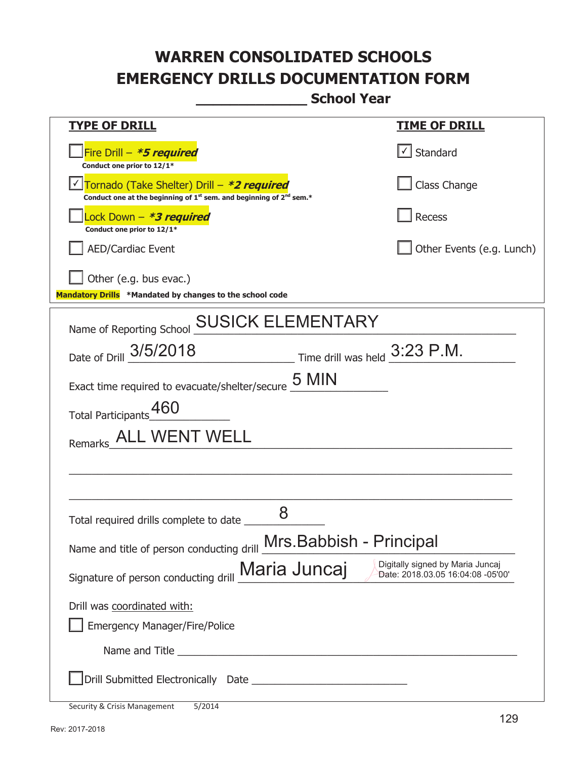**\_\_\_\_\_\_\_\_\_\_\_\_\_ School Year** 

| <u>TYPE OF DRILL</u>                                                                                                                      | <u>TIME OF DRILL</u>                                                  |
|-------------------------------------------------------------------------------------------------------------------------------------------|-----------------------------------------------------------------------|
| Fire Drill - *5 required<br>Conduct one prior to 12/1*                                                                                    | √ Standard                                                            |
| Tornado (Take Shelter) Drill – *2 required<br>Conduct one at the beginning of 1 <sup>st</sup> sem. and beginning of 2 <sup>nd</sup> sem.* | Class Change                                                          |
| Lock Down – <b>*3 required</b><br>Conduct one prior to 12/1*                                                                              | Recess                                                                |
| <b>AED/Cardiac Event</b>                                                                                                                  | Other Events (e.g. Lunch)                                             |
| Other (e.g. bus evac.)                                                                                                                    |                                                                       |
| Mandatory Drills *Mandated by changes to the school code                                                                                  |                                                                       |
| <b>SUSICK ELEMENTARY</b><br>Name of Reporting School                                                                                      |                                                                       |
| Time drill was held 3:23 P.M.<br>Date of Drill 3/5/2018                                                                                   |                                                                       |
|                                                                                                                                           |                                                                       |
| Exact time required to evacuate/shelter/secure $\frac{5}{2}$ MIN                                                                          |                                                                       |
| <b>Total Participants</b>                                                                                                                 |                                                                       |
| ALL WENT WELL<br>Remarks                                                                                                                  |                                                                       |
|                                                                                                                                           |                                                                       |
|                                                                                                                                           |                                                                       |
| 8<br>Total required drills complete to date                                                                                               |                                                                       |
|                                                                                                                                           |                                                                       |
| Name and title of person conducting drill Mrs. Babbish - Principal                                                                        |                                                                       |
| Maria Juncaj<br>Signature of person conducting drill                                                                                      | Digitally signed by Maria Juncaj<br>Date: 2018.03.05 16:04:08 -05'00' |
| Drill was coordinated with:                                                                                                               |                                                                       |
| <b>Emergency Manager/Fire/Police</b>                                                                                                      |                                                                       |
|                                                                                                                                           |                                                                       |
|                                                                                                                                           |                                                                       |

Security & Crisis Management 5/2014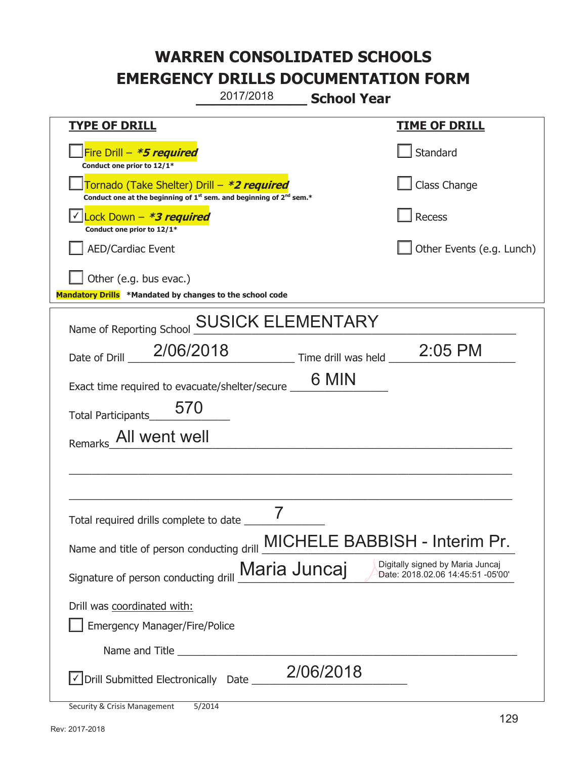**\_\_\_\_\_\_\_\_\_\_\_\_\_ School Year**  2017/2018

| <u>TYPE OF DRILL</u>                                                                                                                      | <u>TIME OF DRILL</u>                                                  |
|-------------------------------------------------------------------------------------------------------------------------------------------|-----------------------------------------------------------------------|
| Fire Drill - *5 required<br>Conduct one prior to 12/1*                                                                                    | Standard                                                              |
| Tornado (Take Shelter) Drill – *2 required<br>Conduct one at the beginning of 1 <sup>st</sup> sem. and beginning of 2 <sup>nd</sup> sem.* | Class Change                                                          |
| √ <mark>Lock Down – <i>*3 required</i></mark><br>Conduct one prior to 12/1*                                                               | Recess                                                                |
| <b>AED/Cardiac Event</b>                                                                                                                  | Other Events (e.g. Lunch)                                             |
| Other (e.g. bus evac.)                                                                                                                    |                                                                       |
| Mandatory Drills *Mandated by changes to the school code                                                                                  |                                                                       |
| <b>SUSICK ELEMENTARY</b><br>Name of Reporting School                                                                                      |                                                                       |
| 2/06/2018<br>Date of Drill                                                                                                                | $\frac{1}{2}$ Time drill was held $\frac{2.05 \text{ PM}}{2}$         |
| Exact time required to evacuate/shelter/secure __                                                                                         | 6 MIN                                                                 |
| 570<br><b>Total Participants</b>                                                                                                          |                                                                       |
| Remarks_All went well                                                                                                                     |                                                                       |
|                                                                                                                                           |                                                                       |
|                                                                                                                                           |                                                                       |
| Total required drills complete to date                                                                                                    |                                                                       |
| Name and title of person conducting drill <b>MICHELE BABBISH - Interim Pr.</b>                                                            |                                                                       |
| Maria Juncaj<br>Signature of person conducting drill                                                                                      | Digitally signed by Maria Juncaj<br>Date: 2018.02.06 14:45:51 -05'00' |
| Drill was coordinated with:                                                                                                               |                                                                       |
| <b>Emergency Manager/Fire/Police</b>                                                                                                      |                                                                       |
|                                                                                                                                           |                                                                       |
| √ Drill Submitted Electronically Date _                                                                                                   | 2/06/2018                                                             |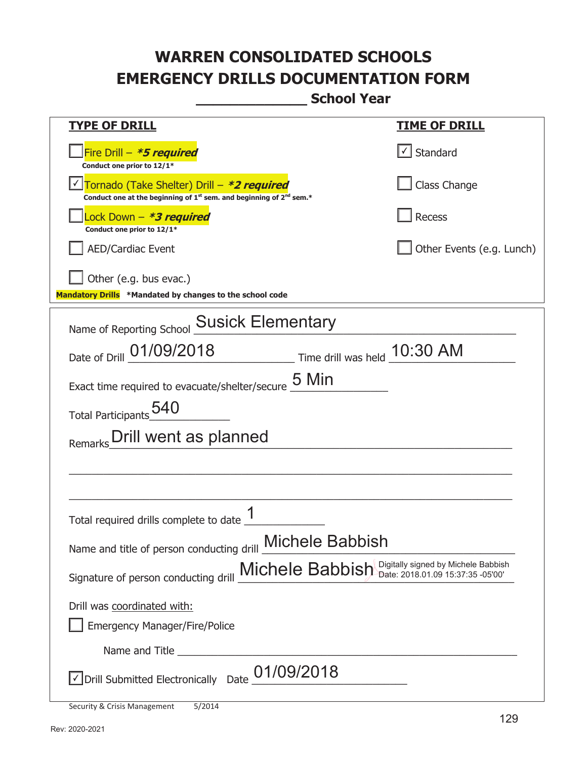**\_\_\_\_\_\_\_\_\_\_\_\_\_ School Year** 

| <u>TYPE OF DRILL</u>                                                                                                        | <u>TIME OF DRILL</u>      |  |
|-----------------------------------------------------------------------------------------------------------------------------|---------------------------|--|
| Fire Drill - *5 required<br>Conduct one prior to 12/1*                                                                      | $\cup$ Standard           |  |
| Tornado (Take Shelter) Drill – *2 required<br>Conduct one at the beginning of $1^{st}$ sem. and beginning of $2^{nd}$ sem.* | Class Change              |  |
| Lock Down - *3 required<br>Conduct one prior to 12/1*                                                                       | <b>Recess</b>             |  |
| <b>AED/Cardiac Event</b>                                                                                                    | Other Events (e.g. Lunch) |  |
| Other (e.g. bus evac.)<br>Mandatory Drills *Mandated by changes to the school code                                          |                           |  |
| Name of Reporting School Susick Elementary                                                                                  |                           |  |
| Date of Drill 01/09/2018<br>Time drill was held 10:30 AM                                                                    |                           |  |
| Exact time required to evacuate/shelter/secure 5 Min                                                                        |                           |  |
| Total Participants 540                                                                                                      |                           |  |
| Drill went as planned<br>Remarks                                                                                            |                           |  |
|                                                                                                                             |                           |  |
|                                                                                                                             |                           |  |
| Total required drills complete to date                                                                                      |                           |  |
| Name and title of person conducting drill <b>Michele Babbish</b>                                                            |                           |  |
| Michele Babbish Digitally signed by Michele Babbish<br>Signature of person conducting drill                                 |                           |  |
| Drill was coordinated with:                                                                                                 |                           |  |
| <b>Emergency Manager/Fire/Police</b>                                                                                        |                           |  |
|                                                                                                                             |                           |  |
| $\vee$ Drill Submitted Electronically Date $\_$ $01/09/2018$                                                                |                           |  |
|                                                                                                                             |                           |  |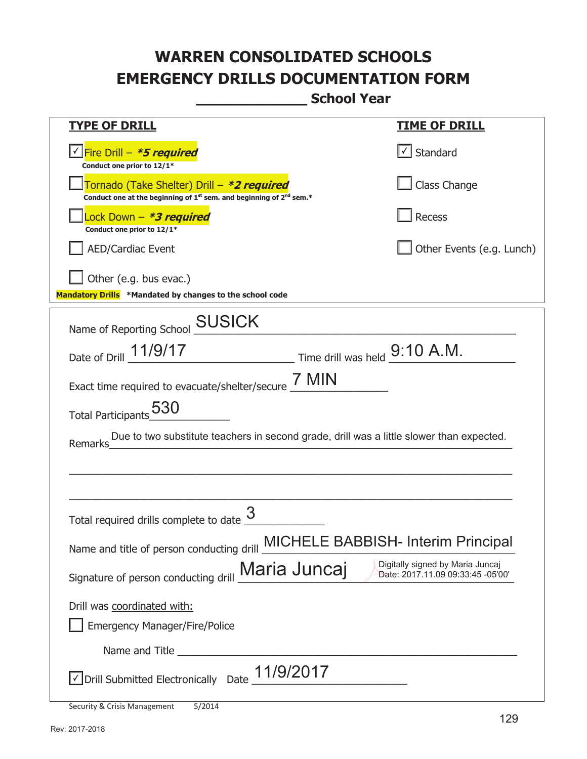**\_\_\_\_\_\_\_\_\_\_\_\_\_ School Year** 

| <u>TYPE OF DRILL</u>                                                                                                        | <b>TIME OF DRILL</b>                                                  |
|-----------------------------------------------------------------------------------------------------------------------------|-----------------------------------------------------------------------|
| Fire Drill – <i>*<b>5 required</b></i><br>Conduct one prior to 12/1*                                                        | Standard                                                              |
| Tornado (Take Shelter) Drill – *2 required<br>Conduct one at the beginning of $1^{st}$ sem. and beginning of $2^{nd}$ sem.* | Class Change                                                          |
| ock Down - <b>*3 required</b><br>Conduct one prior to 12/1*                                                                 | Recess                                                                |
| <b>AED/Cardiac Event</b>                                                                                                    | Other Events (e.g. Lunch)                                             |
| Other (e.g. bus evac.)<br>Mandatory Drills *Mandated by changes to the school code                                          |                                                                       |
| Name of Reporting School SUSICK                                                                                             |                                                                       |
| Time drill was held 9:10 A.M.<br>Date of Drill 11/9/17                                                                      |                                                                       |
| Exact time required to evacuate/shelter/secure $\frac{7 \text{ MIN}}{4}$                                                    |                                                                       |
| Total Participants 530                                                                                                      |                                                                       |
| Due to two substitute teachers in second grade, drill was a little slower than expected.<br>Remarks                         |                                                                       |
|                                                                                                                             |                                                                       |
|                                                                                                                             |                                                                       |
| Total required drills complete to date                                                                                      |                                                                       |
| Name and title of person conducting drill MICHELE BABBISH- Interim Principal                                                |                                                                       |
| Signature of person conducting drill Maria Juncaj                                                                           | Digitally signed by Maria Juncaj<br>Date: 2017.11.09 09:33:45 -05'00' |
| Drill was coordinated with:                                                                                                 |                                                                       |
| <b>Emergency Manager/Fire/Police</b>                                                                                        |                                                                       |
| Name and Title                                                                                                              |                                                                       |
| 11/9/2017<br>√ Drill Submitted Electronically Date                                                                          |                                                                       |
|                                                                                                                             |                                                                       |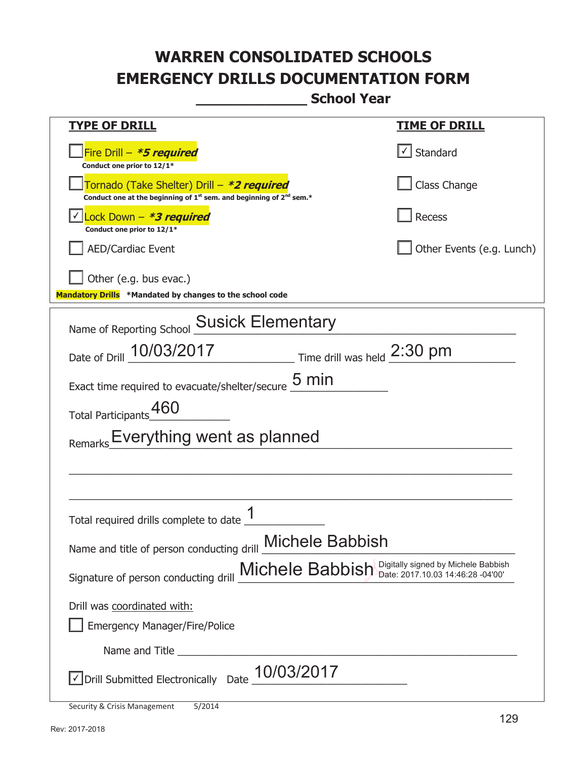**\_\_\_\_\_\_\_\_\_\_\_\_\_ School Year** 

| <b>TYPE OF DRILL</b>                                                                                                                | <u>TIME OF DRILL</u>              |
|-------------------------------------------------------------------------------------------------------------------------------------|-----------------------------------|
| Fire Drill - *5 required<br>Conduct one prior to 12/1*                                                                              | $\lfloor \angle \rfloor$ Standard |
| Tornado (Take Shelter) Drill – *2 required<br>Conduct one at the beginning of $1^{st}$ sem. and beginning of $2^{nd}$ sem.*         | Class Change                      |
| Lock Down - <b>*3 required</b><br>Conduct one prior to 12/1*                                                                        | Recess                            |
| <b>AED/Cardiac Event</b>                                                                                                            | Other Events (e.g. Lunch)         |
| Other (e.g. bus evac.)<br>Mandatory Drills *Mandated by changes to the school code                                                  |                                   |
| Name of Reporting School Susick Elementary                                                                                          |                                   |
| Date of Drill 10/03/2017<br>$\frac{1}{2.30}$ Time drill was held $\frac{2.30}{2.30}$ pm                                             |                                   |
| 5 min<br>Exact time required to evacuate/shelter/secure                                                                             |                                   |
| 460<br><b>Total Participants</b>                                                                                                    |                                   |
| Remarks Everything went as planned                                                                                                  |                                   |
|                                                                                                                                     |                                   |
|                                                                                                                                     |                                   |
| Total required drills complete to date                                                                                              |                                   |
| Name and title of person conducting drill <b>Michele Babbish</b>                                                                    |                                   |
| Digitally signed by Michele Babbish<br>Michele Babbish<br>Date: 2017.10.03 14:46:28 -04'00'<br>Signature of person conducting drill |                                   |
| Drill was coordinated with:                                                                                                         |                                   |
| <b>Emergency Manager/Fire/Police</b>                                                                                                |                                   |
|                                                                                                                                     |                                   |
| 10/03/2017<br>√ Drill Submitted Electronically Date                                                                                 |                                   |
|                                                                                                                                     |                                   |